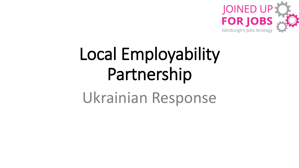

# Local Employability Partnership

Ukrainian Response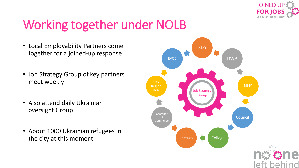

### Working together under NOLB

- Local Employability Partners come together for a joined-up response
- Job Strategy Group of key partners meet weekly
- Also attend daily Ukrainian oversight Group
- About 1000 Ukrainian refugees in the city at this moment

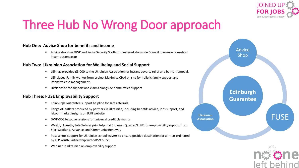

## Three Hub No Wrong Door approach

#### **Hub One: Advice Shop for benefits and income**

Advice shop has DWP and Social Security Scotland clustered alongside Council to ensure household income starts asap

#### **Hub Two: Ukrainian Association for Wellbeing and Social Support**

- LEP has provided £5,000 to the Ukrainian Association for instant poverty relief and barrier removal.
- LEP placed Family worker from project Maximise CHAI on site for holistic family support and intensive case management
- DWP onsite for support and claims alongside home office support

#### **Hub Three: FUSE Employability Support**

- Edinburgh Guarantee support helpline for safe referrals
- Range of leaflets produced by partners in Ukrainian, including benefits advice, jobs support, and labour market insights on JUFJ website
- DWP/SDS bespoke sessions for universal credit claimants
- Weekly Tuesday Job Club drop-in 1-4pm at St James Quarter/FUSE for employability support from Start Scotland, Advance, and Community Renewal.
- Post school support for Ukrainian school leavers to ensure positive destination for all co-ordinated by LEP Youth Partnership with SDS/Council
- Webinar in Ukrainian on employability support